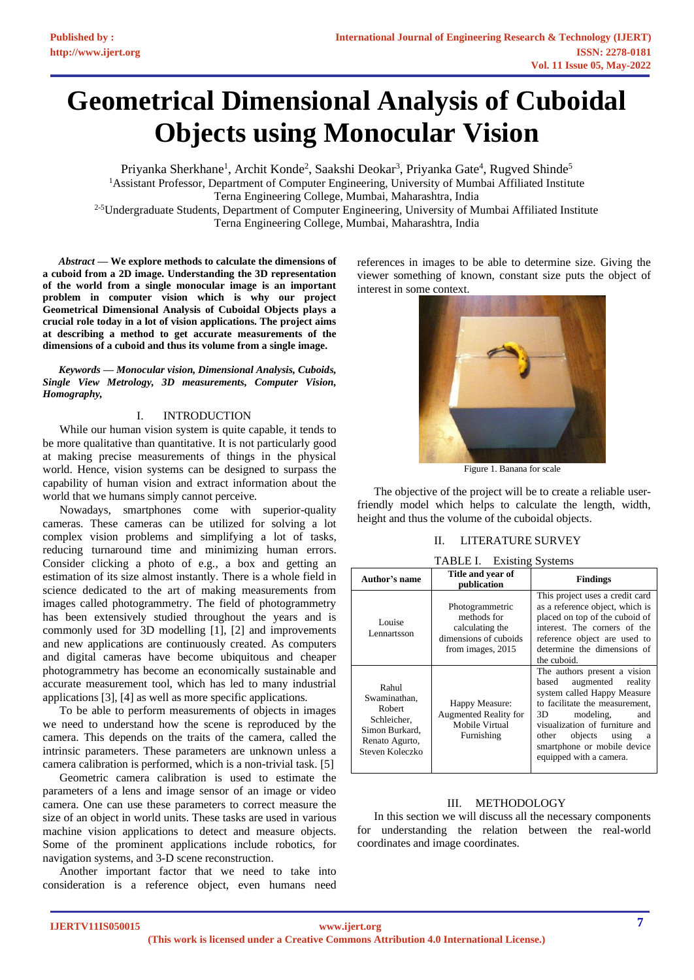# **Geometrical Dimensional Analysis of Cuboidal Objects using Monocular Vision**

Priyanka Sherkhane<sup>1</sup>, Archit Konde<sup>2</sup>, Saakshi Deokar<sup>3</sup>, Priyanka Gate<sup>4</sup>, Rugved Shinde<sup>5</sup> <sup>1</sup>Assistant Professor, Department of Computer Engineering, University of Mumbai Affiliated Institute Terna Engineering College, Mumbai, Maharashtra, India <sup>2-5</sup>Undergraduate Students, Department of Computer Engineering, University of Mumbai Affiliated Institute Terna Engineering College, Mumbai, Maharashtra, India

*Abstract* **— We explore methods to calculate the dimensions of a cuboid from a 2D image. Understanding the 3D representation of the world from a single monocular image is an important problem in computer vision which is why our project Geometrical Dimensional Analysis of Cuboidal Objects plays a crucial role today in a lot of vision applications. The project aims at describing a method to get accurate measurements of the dimensions of a cuboid and thus its volume from a single image.**

*Keywords — Monocular vision, Dimensional Analysis, Cuboids, Single View Metrology, 3D measurements, Computer Vision, Homography,* 

## I. INTRODUCTION

While our human vision system is quite capable, it tends to be more qualitative than quantitative. It is not particularly good at making precise measurements of things in the physical world. Hence, vision systems can be designed to surpass the capability of human vision and extract information about the world that we humans simply cannot perceive.

Nowadays, smartphones come with superior-quality cameras. These cameras can be utilized for solving a lot complex vision problems and simplifying a lot of tasks, reducing turnaround time and minimizing human errors. Consider clicking a photo of e.g., a box and getting an estimation of its size almost instantly. There is a whole field in science dedicated to the art of making measurements from images called photogrammetry. The field of photogrammetry has been extensively studied throughout the years and is commonly used for 3D modelling [1], [2] and improvements and new applications are continuously created. As computers and digital cameras have become ubiquitous and cheaper photogrammetry has become an economically sustainable and accurate measurement tool, which has led to many industrial applications [3], [4] as well as more specific applications.

To be able to perform measurements of objects in images we need to understand how the scene is reproduced by the camera. This depends on the traits of the camera, called the intrinsic parameters. These parameters are unknown unless a camera calibration is performed, which is a non-trivial task. [5]

Geometric camera calibration is used to estimate the parameters of a lens and image sensor of an image or video camera. One can use these parameters to correct measure the size of an object in world units. These tasks are used in various machine vision applications to detect and measure objects. Some of the prominent applications include robotics, for navigation systems, and 3-D scene reconstruction.

Another important factor that we need to take into consideration is a reference object, even humans need references in images to be able to determine size. Giving the viewer something of known, constant size puts the object of interest in some context.



Figure 1. Banana for scale

The objective of the project will be to create a reliable userfriendly model which helps to calculate the length, width, height and thus the volume of the cuboidal objects.

## II. LITERATURE SURVEY

| <b>TABLE I.</b> Existing Systems                                                                             |                                                                                                 |                                                                                                                                                                                                                                                                                     |  |  |  |  |
|--------------------------------------------------------------------------------------------------------------|-------------------------------------------------------------------------------------------------|-------------------------------------------------------------------------------------------------------------------------------------------------------------------------------------------------------------------------------------------------------------------------------------|--|--|--|--|
| Author's name                                                                                                | Title and year of<br>publication                                                                | <b>Findings</b>                                                                                                                                                                                                                                                                     |  |  |  |  |
| Louise<br>Lennartsson                                                                                        | Photogrammetric<br>methods for<br>calculating the<br>dimensions of cuboids<br>from images, 2015 | This project uses a credit card<br>as a reference object, which is<br>placed on top of the cuboid of<br>interest. The corners of the<br>reference object are used to<br>determine the dimensions of<br>the cuboid.                                                                  |  |  |  |  |
| Rahul<br>Swaminathan,<br><b>Robert</b><br>Schleicher,<br>Simon Burkard,<br>Renato Agurto,<br>Steven Koleczko | Happy Measure:<br><b>Augmented Reality for</b><br>Mobile Virtual<br>Furnishing                  | The authors present a vision<br>augmented reality<br>based<br>system called Happy Measure<br>to facilitate the measurement.<br>modeling,<br>3D<br>and<br>visualization of furniture and<br>objects<br>other<br>using<br>a<br>smartphone or mobile device<br>equipped with a camera. |  |  |  |  |

### III. METHODOLOGY

In this section we will discuss all the necessary components for understanding the relation between the real-world coordinates and image coordinates.